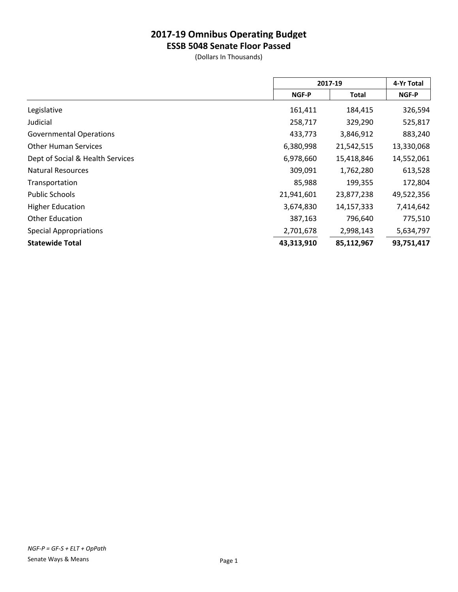**ESSB 5048 Senate Floor Passed**

|                                  | 2017-19    |            | 4-Yr Total |
|----------------------------------|------------|------------|------------|
|                                  | NGF-P      | Total      | NGF-P      |
| Legislative                      | 161,411    | 184,415    | 326,594    |
| Judicial                         | 258,717    | 329,290    | 525,817    |
| <b>Governmental Operations</b>   | 433,773    | 3,846,912  | 883,240    |
| <b>Other Human Services</b>      | 6,380,998  | 21,542,515 | 13,330,068 |
| Dept of Social & Health Services | 6,978,660  | 15,418,846 | 14,552,061 |
| <b>Natural Resources</b>         | 309,091    | 1,762,280  | 613,528    |
| Transportation                   | 85,988     | 199,355    | 172,804    |
| <b>Public Schools</b>            | 21,941,601 | 23,877,238 | 49,522,356 |
| <b>Higher Education</b>          | 3,674,830  | 14,157,333 | 7,414,642  |
| <b>Other Education</b>           | 387,163    | 796,640    | 775,510    |
| <b>Special Appropriations</b>    | 2,701,678  | 2,998,143  | 5,634,797  |
| <b>Statewide Total</b>           | 43,313,910 | 85,112,967 | 93,751,417 |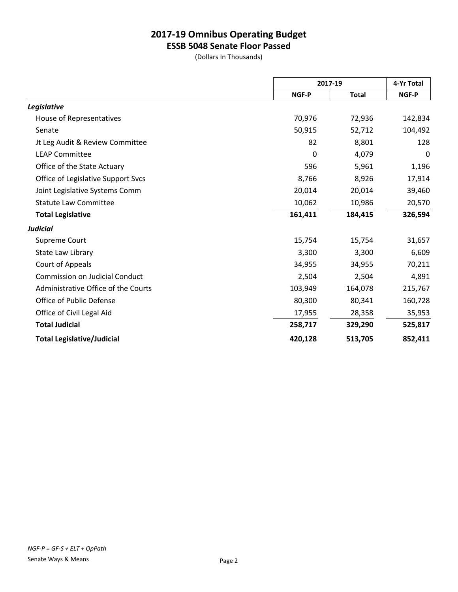**ESSB 5048 Senate Floor Passed**

|                                       |              | 2017-19      |         |
|---------------------------------------|--------------|--------------|---------|
|                                       | <b>NGF-P</b> | <b>Total</b> | NGF-P   |
| Legislative                           |              |              |         |
| House of Representatives              | 70,976       | 72,936       | 142,834 |
| Senate                                | 50,915       | 52,712       | 104,492 |
| Jt Leg Audit & Review Committee       | 82           | 8,801        | 128     |
| <b>LEAP Committee</b>                 | 0            | 4,079        | 0       |
| Office of the State Actuary           | 596          | 5,961        | 1,196   |
| Office of Legislative Support Svcs    | 8,766        | 8,926        | 17,914  |
| Joint Legislative Systems Comm        | 20,014       | 20,014       | 39,460  |
| <b>Statute Law Committee</b>          | 10,062       | 10,986       | 20,570  |
| <b>Total Legislative</b>              | 161,411      | 184,415      | 326,594 |
| <b>Judicial</b>                       |              |              |         |
| Supreme Court                         | 15,754       | 15,754       | 31,657  |
| State Law Library                     | 3,300        | 3,300        | 6,609   |
| Court of Appeals                      | 34,955       | 34,955       | 70,211  |
| <b>Commission on Judicial Conduct</b> | 2,504        | 2,504        | 4,891   |
| Administrative Office of the Courts   | 103,949      | 164,078      | 215,767 |
| Office of Public Defense              | 80,300       | 80,341       | 160,728 |
| Office of Civil Legal Aid             | 17,955       | 28,358       | 35,953  |
| <b>Total Judicial</b>                 | 258,717      | 329,290      | 525,817 |
| <b>Total Legislative/Judicial</b>     | 420,128      | 513,705      | 852,411 |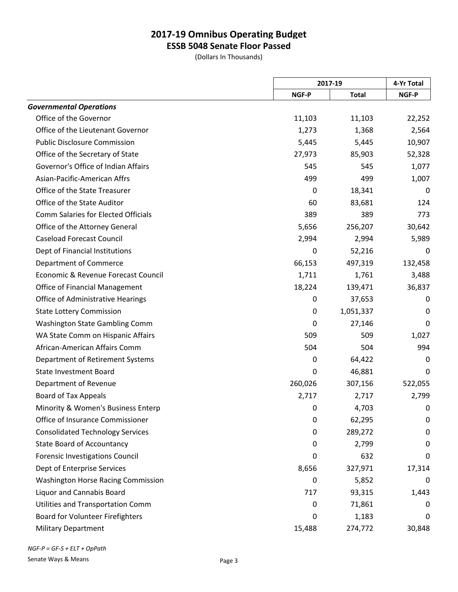**ESSB 5048 Senate Floor Passed**

(Dollars In Thousands)

|                                            | 2017-19 |              | 4-Yr Total |
|--------------------------------------------|---------|--------------|------------|
|                                            | NGF-P   | <b>Total</b> | NGF-P      |
| <b>Governmental Operations</b>             |         |              |            |
| Office of the Governor                     | 11,103  | 11,103       | 22,252     |
| Office of the Lieutenant Governor          | 1,273   | 1,368        | 2,564      |
| <b>Public Disclosure Commission</b>        | 5,445   | 5,445        | 10,907     |
| Office of the Secretary of State           | 27,973  | 85,903       | 52,328     |
| Governor's Office of Indian Affairs        | 545     | 545          | 1,077      |
| Asian-Pacific-American Affrs               | 499     | 499          | 1,007      |
| Office of the State Treasurer              | 0       | 18,341       | 0          |
| Office of the State Auditor                | 60      | 83,681       | 124        |
| <b>Comm Salaries for Elected Officials</b> | 389     | 389          | 773        |
| Office of the Attorney General             | 5,656   | 256,207      | 30,642     |
| <b>Caseload Forecast Council</b>           | 2,994   | 2,994        | 5,989      |
| Dept of Financial Institutions             | 0       | 52,216       | 0          |
| <b>Department of Commerce</b>              | 66,153  | 497,319      | 132,458    |
| Economic & Revenue Forecast Council        | 1,711   | 1,761        | 3,488      |
| <b>Office of Financial Management</b>      | 18,224  | 139,471      | 36,837     |
| Office of Administrative Hearings          | 0       | 37,653       | 0          |
| <b>State Lottery Commission</b>            | 0       | 1,051,337    | 0          |
| <b>Washington State Gambling Comm</b>      | 0       | 27,146       | 0          |
| WA State Comm on Hispanic Affairs          | 509     | 509          | 1,027      |
| African-American Affairs Comm              | 504     | 504          | 994        |
| Department of Retirement Systems           | 0       | 64,422       | 0          |
| <b>State Investment Board</b>              | 0       | 46,881       | 0          |
| Department of Revenue                      | 260,026 | 307,156      | 522,055    |
| <b>Board of Tax Appeals</b>                | 2,717   | 2,717        | 2,799      |
| Minority & Women's Business Enterp         | 0       | 4,703        | 0          |
| Office of Insurance Commissioner           | 0       | 62,295       | 0          |
| <b>Consolidated Technology Services</b>    | 0       | 289,272      | 0          |
| <b>State Board of Accountancy</b>          | 0       | 2,799        | 0          |
| <b>Forensic Investigations Council</b>     | 0       | 632          | 0          |
| Dept of Enterprise Services                | 8,656   | 327,971      | 17,314     |
| <b>Washington Horse Racing Commission</b>  | 0       | 5,852        | 0          |
| <b>Liquor and Cannabis Board</b>           | 717     | 93,315       | 1,443      |
| Utilities and Transportation Comm          | 0       | 71,861       | 0          |
| Board for Volunteer Firefighters           | 0       | 1,183        | 0          |
| Military Department                        | 15,488  | 274,772      | 30,848     |
|                                            |         |              |            |

*NGF-P = GF-S + ELT + OpPath*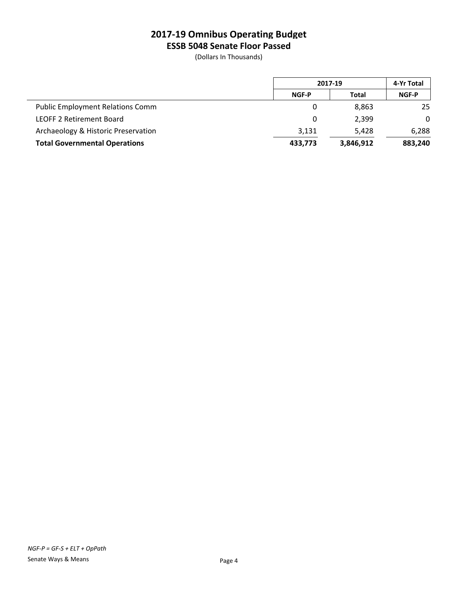**ESSB 5048 Senate Floor Passed**

|                                         | 2017-19               |           | 4-Yr Total   |
|-----------------------------------------|-----------------------|-----------|--------------|
|                                         | <b>NGF-P</b><br>Total |           | <b>NGF-P</b> |
| <b>Public Employment Relations Comm</b> | 0                     | 8.863     | 25           |
| <b>LEOFF 2 Retirement Board</b>         | 0                     | 2.399     | $\mathbf{0}$ |
| Archaeology & Historic Preservation     | 3,131                 | 5.428     | 6,288        |
| <b>Total Governmental Operations</b>    | 433,773               | 3,846,912 | 883,240      |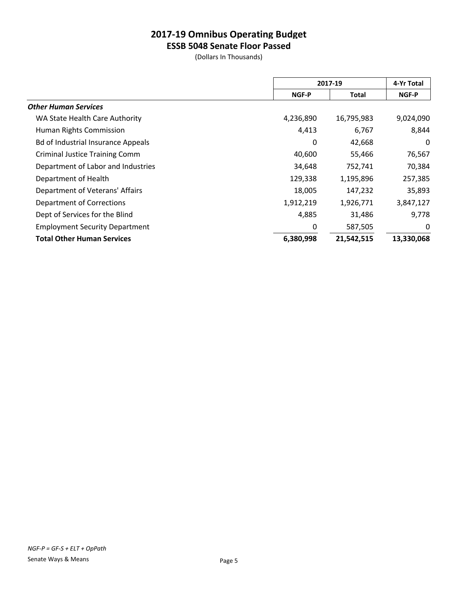**ESSB 5048 Senate Floor Passed**

|                                           |           | 2017-19    |            |
|-------------------------------------------|-----------|------------|------------|
|                                           | NGF-P     | Total      | NGF-P      |
| <b>Other Human Services</b>               |           |            |            |
| WA State Health Care Authority            | 4,236,890 | 16,795,983 | 9,024,090  |
| Human Rights Commission                   | 4,413     | 6,767      | 8,844      |
| <b>Bd of Industrial Insurance Appeals</b> | 0         | 42,668     | $\Omega$   |
| <b>Criminal Justice Training Comm</b>     | 40,600    | 55,466     | 76,567     |
| Department of Labor and Industries        | 34,648    | 752,741    | 70,384     |
| Department of Health                      | 129,338   | 1,195,896  | 257,385    |
| Department of Veterans' Affairs           | 18,005    | 147,232    | 35,893     |
| <b>Department of Corrections</b>          | 1,912,219 | 1,926,771  | 3,847,127  |
| Dept of Services for the Blind            | 4,885     | 31,486     | 9,778      |
| <b>Employment Security Department</b>     | 0         | 587,505    | 0          |
| <b>Total Other Human Services</b>         | 6,380,998 | 21,542,515 | 13,330,068 |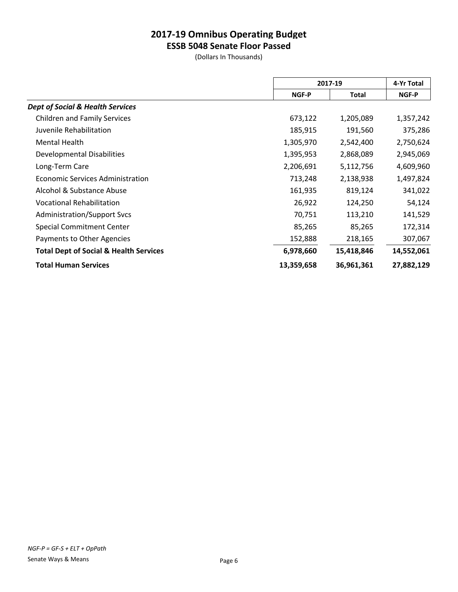**ESSB 5048 Senate Floor Passed**

|                                                   |            | 2017-19    |            |
|---------------------------------------------------|------------|------------|------------|
|                                                   | NGF-P      | Total      | NGF-P      |
| <b>Dept of Social &amp; Health Services</b>       |            |            |            |
| <b>Children and Family Services</b>               | 673,122    | 1,205,089  | 1,357,242  |
| Juvenile Rehabilitation                           | 185,915    | 191,560    | 375,286    |
| Mental Health                                     | 1,305,970  | 2,542,400  | 2,750,624  |
| Developmental Disabilities                        | 1,395,953  | 2,868,089  | 2,945,069  |
| Long-Term Care                                    | 2,206,691  | 5,112,756  | 4,609,960  |
| <b>Economic Services Administration</b>           | 713,248    | 2,138,938  | 1,497,824  |
| Alcohol & Substance Abuse                         | 161,935    | 819,124    | 341,022    |
| <b>Vocational Rehabilitation</b>                  | 26,922     | 124,250    | 54,124     |
| <b>Administration/Support Svcs</b>                | 70,751     | 113,210    | 141,529    |
| <b>Special Commitment Center</b>                  | 85,265     | 85,265     | 172,314    |
| Payments to Other Agencies                        | 152,888    | 218,165    | 307,067    |
| <b>Total Dept of Social &amp; Health Services</b> | 6,978,660  | 15,418,846 | 14,552,061 |
| <b>Total Human Services</b>                       | 13,359,658 | 36,961,361 | 27,882,129 |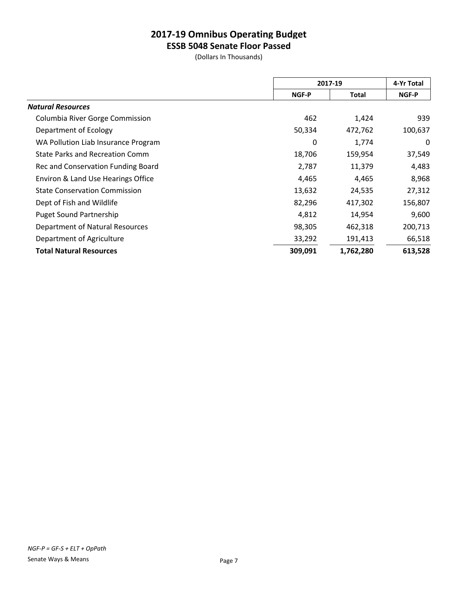**ESSB 5048 Senate Floor Passed**

|                                        | 2017-19        |           | 4-Yr Total |
|----------------------------------------|----------------|-----------|------------|
|                                        | NGF-P<br>Total | NGF-P     |            |
| <b>Natural Resources</b>               |                |           |            |
| Columbia River Gorge Commission        | 462            | 1,424     | 939        |
| Department of Ecology                  | 50,334         | 472,762   | 100,637    |
| WA Pollution Liab Insurance Program    | 0              | 1,774     | 0          |
| <b>State Parks and Recreation Comm</b> | 18,706         | 159,954   | 37,549     |
| Rec and Conservation Funding Board     | 2,787          | 11,379    | 4,483      |
| Environ & Land Use Hearings Office     | 4,465          | 4,465     | 8,968      |
| <b>State Conservation Commission</b>   | 13,632         | 24,535    | 27,312     |
| Dept of Fish and Wildlife              | 82,296         | 417,302   | 156,807    |
| <b>Puget Sound Partnership</b>         | 4,812          | 14,954    | 9,600      |
| Department of Natural Resources        | 98,305         | 462,318   | 200,713    |
| Department of Agriculture              | 33,292         | 191,413   | 66,518     |
| <b>Total Natural Resources</b>         | 309,091        | 1,762,280 | 613,528    |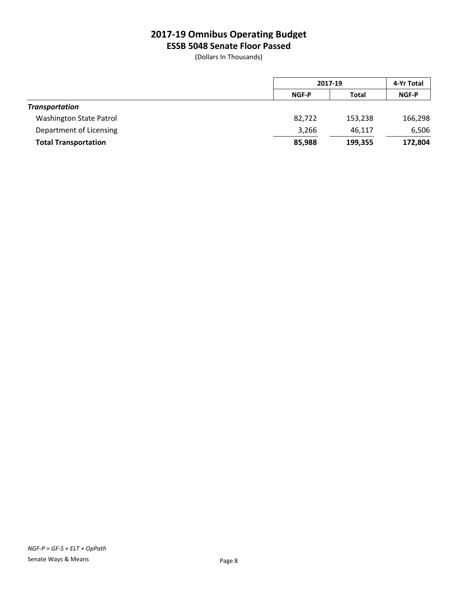**ESSB 5048 Senate Floor Passed**

|                                |              | 2017-19      |              |
|--------------------------------|--------------|--------------|--------------|
|                                | <b>NGF-P</b> | <b>Total</b> | <b>NGF-P</b> |
| <b>Transportation</b>          |              |              |              |
| <b>Washington State Patrol</b> | 82,722       | 153,238      | 166,298      |
| Department of Licensing        | 3,266        | 46,117       | 6,506        |
| <b>Total Transportation</b>    | 85,988       | 199,355      | 172,804      |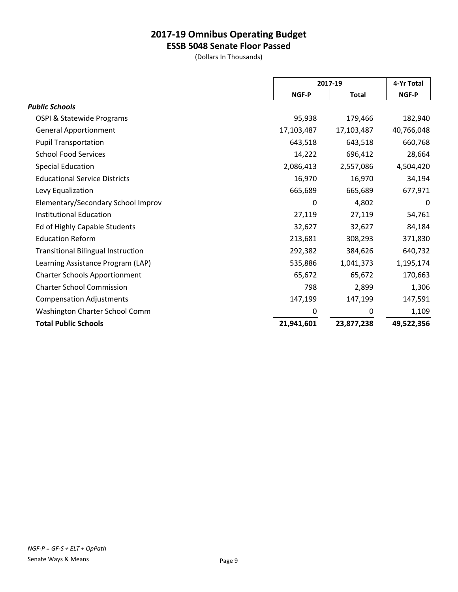**ESSB 5048 Senate Floor Passed**

|                                           |              | 2017-19      |            |
|-------------------------------------------|--------------|--------------|------------|
|                                           | <b>NGF-P</b> | <b>Total</b> | NGF-P      |
| <b>Public Schools</b>                     |              |              |            |
| OSPI & Statewide Programs                 | 95,938       | 179,466      | 182,940    |
| <b>General Apportionment</b>              | 17,103,487   | 17,103,487   | 40,766,048 |
| <b>Pupil Transportation</b>               | 643,518      | 643,518      | 660,768    |
| <b>School Food Services</b>               | 14,222       | 696,412      | 28,664     |
| <b>Special Education</b>                  | 2,086,413    | 2,557,086    | 4,504,420  |
| <b>Educational Service Districts</b>      | 16,970       | 16,970       | 34,194     |
| Levy Equalization                         | 665,689      | 665,689      | 677,971    |
| Elementary/Secondary School Improv        | 0            | 4,802        | 0          |
| <b>Institutional Education</b>            | 27,119       | 27,119       | 54,761     |
| Ed of Highly Capable Students             | 32,627       | 32,627       | 84,184     |
| <b>Education Reform</b>                   | 213,681      | 308,293      | 371,830    |
| <b>Transitional Bilingual Instruction</b> | 292,382      | 384,626      | 640,732    |
| Learning Assistance Program (LAP)         | 535,886      | 1,041,373    | 1,195,174  |
| <b>Charter Schools Apportionment</b>      | 65,672       | 65,672       | 170,663    |
| <b>Charter School Commission</b>          | 798          | 2,899        | 1,306      |
| <b>Compensation Adjustments</b>           | 147,199      | 147,199      | 147,591    |
| Washington Charter School Comm            | 0            | 0            | 1,109      |
| <b>Total Public Schools</b>               | 21,941,601   | 23,877,238   | 49,522,356 |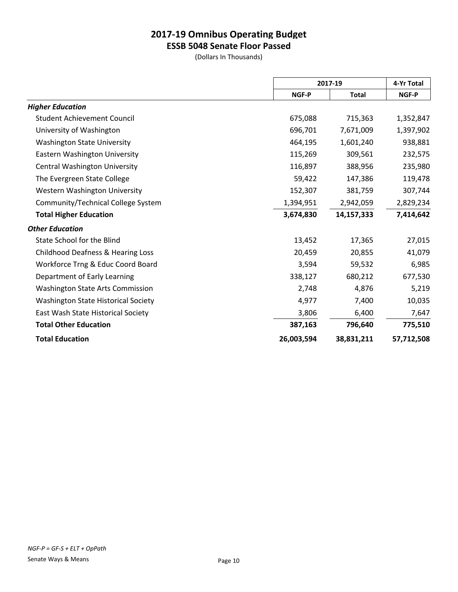**ESSB 5048 Senate Floor Passed**

|                                            |            | 2017-19      |            |
|--------------------------------------------|------------|--------------|------------|
|                                            | NGF-P      | <b>Total</b> | NGF-P      |
| <b>Higher Education</b>                    |            |              |            |
| <b>Student Achievement Council</b>         | 675,088    | 715,363      | 1,352,847  |
| University of Washington                   | 696,701    | 7,671,009    | 1,397,902  |
| <b>Washington State University</b>         | 464,195    | 1,601,240    | 938,881    |
| Eastern Washington University              | 115,269    | 309,561      | 232,575    |
| <b>Central Washington University</b>       | 116,897    | 388,956      | 235,980    |
| The Evergreen State College                | 59,422     | 147,386      | 119,478    |
| <b>Western Washington University</b>       | 152,307    | 381,759      | 307,744    |
| Community/Technical College System         | 1,394,951  | 2,942,059    | 2,829,234  |
| <b>Total Higher Education</b>              | 3,674,830  | 14,157,333   | 7,414,642  |
| <b>Other Education</b>                     |            |              |            |
| State School for the Blind                 | 13,452     | 17,365       | 27,015     |
| Childhood Deafness & Hearing Loss          | 20,459     | 20,855       | 41,079     |
| Workforce Trng & Educ Coord Board          | 3,594      | 59,532       | 6,985      |
| Department of Early Learning               | 338,127    | 680,212      | 677,530    |
| <b>Washington State Arts Commission</b>    | 2,748      | 4,876        | 5,219      |
| <b>Washington State Historical Society</b> | 4,977      | 7,400        | 10,035     |
| East Wash State Historical Society         | 3,806      | 6,400        | 7,647      |
| <b>Total Other Education</b>               | 387,163    | 796,640      | 775,510    |
| <b>Total Education</b>                     | 26,003,594 | 38,831,211   | 57,712,508 |